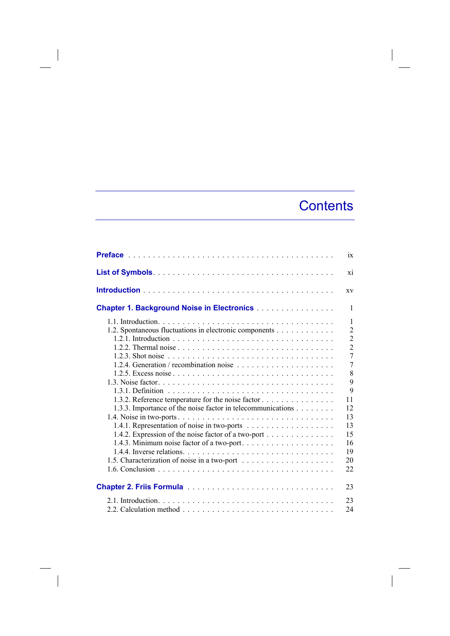## **Contents**

 $\overline{\phantom{a}}$ 

|                                                                                                                                                                                                                                   | ix                                                                                                                                                                                |
|-----------------------------------------------------------------------------------------------------------------------------------------------------------------------------------------------------------------------------------|-----------------------------------------------------------------------------------------------------------------------------------------------------------------------------------|
|                                                                                                                                                                                                                                   | xi                                                                                                                                                                                |
|                                                                                                                                                                                                                                   | XV                                                                                                                                                                                |
| <b>Chapter 1. Background Noise in Electronics</b>                                                                                                                                                                                 | $\mathbf{1}$                                                                                                                                                                      |
| 1.2. Spontaneous fluctuations in electronic components<br>1.3.2. Reference temperature for the noise factor<br>1.3.3. Importance of the noise factor in telecommunications<br>1.4.2. Expression of the noise factor of a two-port | $\mathbf{1}$<br>$\overline{2}$<br>$\overline{2}$<br>$\overline{2}$<br>$\overline{7}$<br>$\overline{7}$<br>8<br>9<br>9<br>11<br>12<br>13<br>13<br>15<br>16<br>19<br>20<br>22<br>23 |
|                                                                                                                                                                                                                                   |                                                                                                                                                                                   |
|                                                                                                                                                                                                                                   | 23<br>24                                                                                                                                                                          |

 $\begin{array}{c} \hline \end{array}$ 

 $\overline{\phantom{a}}$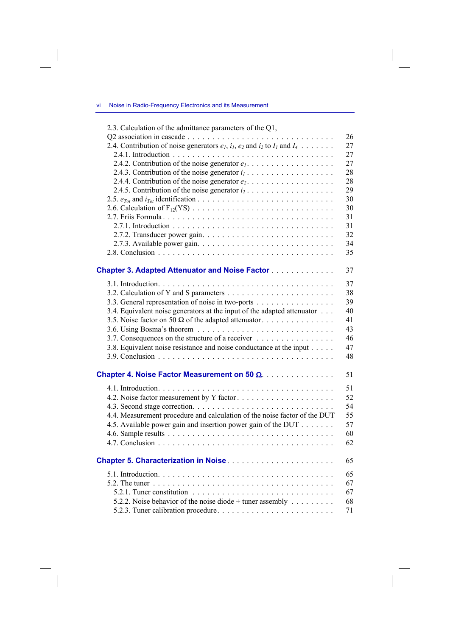vi Noise in Radio-Frequency Electronics and its Measurement

 $\overline{\phantom{a}}$ 

 $\begin{array}{c} \hline \end{array}$ 

| 2.3. Calculation of the admittance parameters of the Q1,                                 |    |
|------------------------------------------------------------------------------------------|----|
|                                                                                          | 26 |
| 2.4. Contribution of noise generators $e_1$ , $i_1$ , $e_2$ and $i_2$ to $I_1$ and $I_4$ | 27 |
|                                                                                          | 27 |
| 2.4.2. Contribution of the noise generator $e_1, \ldots, \ldots, \ldots, \ldots, \ldots$ | 27 |
|                                                                                          | 28 |
|                                                                                          | 28 |
| 2.4.5. Contribution of the noise generator $i_2$                                         | 29 |
|                                                                                          | 30 |
|                                                                                          | 30 |
|                                                                                          | 31 |
|                                                                                          | 31 |
|                                                                                          | 32 |
|                                                                                          | 34 |
|                                                                                          | 35 |
|                                                                                          |    |
| <b>Chapter 3. Adapted Attenuator and Noise Factor</b>                                    | 37 |
|                                                                                          | 37 |
|                                                                                          | 38 |
| 3.3. General representation of noise in two-ports                                        | 39 |
| 3.4. Equivalent noise generators at the input of the adapted attenuator                  | 40 |
| 3.5. Noise factor on 50 $\Omega$ of the adapted attenuator                               | 41 |
|                                                                                          | 43 |
| 3.7. Consequences on the structure of a receiver                                         | 46 |
| 3.8. Equivalent noise resistance and noise conductance at the input                      | 47 |
|                                                                                          | 48 |
| Chapter 4. Noise Factor Measurement on 50 Ω.                                             | 51 |
|                                                                                          | 51 |
| 4.2. Noise factor measurement by Y factor                                                | 52 |
|                                                                                          | 54 |
| 4.4. Measurement procedure and calculation of the noise factor of the DUT                | 55 |
| 4.5. Available power gain and insertion power gain of the DUT                            | 57 |
|                                                                                          | 60 |
|                                                                                          | 62 |
|                                                                                          | 65 |
|                                                                                          | 65 |
|                                                                                          | 67 |
|                                                                                          | 67 |
| 5.2.2. Noise behavior of the noise diode + tuner assembly $\dots \dots$                  | 68 |
|                                                                                          | 71 |

 $\Big|$